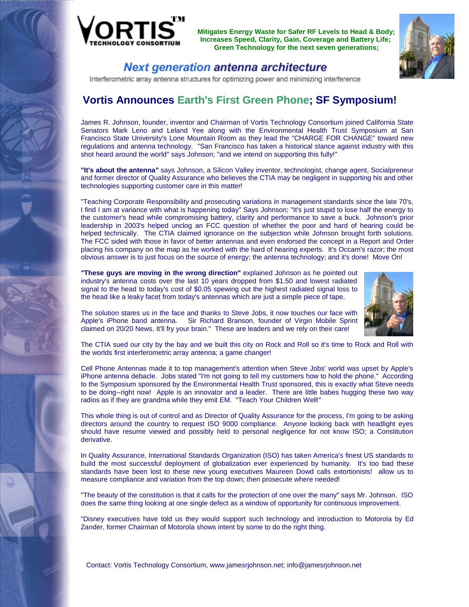



### Next generation antenna architecture

Interferometric array antenna structures for optimizing power and minimizing interference

# **Vortis Announces Earth's First Green Phone; SF Symposium!**

James R. Johnson, founder, inventor and Chairman of Vortis Technology Consortium joined California State Senators Mark Leno and Leland Yee along with the Environmental Health Trust Symposium at San Francisco State University's Lone Mountain Room as they lead the "CHARGE FOR CHANGE" toward new regulations and antenna technology. "San Francisco has taken a historical stance against industry with this shot heard around the world" says Johnson; "and we intend on supporting this fully!"

**"It's about the antenna"** says Johnson, a Silicon Valley inventor, technologist, change agent, Socialpreneur and former director of Quality Assurance who believes the CTIA may be negligent in supporting his and other technologies supporting customer care in this matter!

"Teaching Corporate Responsibility and prosecuting variations in management standards since the late 70's, I find I am at variance with what is happening today" Says Johnson; "It's just stupid to lose half the energy to the customer's head while compromising battery, clarity and performance to save a buck. Johnson's prior leadership in 2003's helped unclog an FCC question of whether the poor and hard of hearing could be helped technically. The CTIA claimed ignorance on the subjection while Johnson brought forth solutions. The FCC sided with those in favor of better antennas and even endorsed the concept in a Report and Order placing his company on the map as he worked with the hard of hearing experts. It's Occam's razor; the most obvious answer is to just focus on the source of energy; the antenna technology; and it's done! Move On!

**"These guys are moving in the wrong direction"** explained Johnson as he pointed out industry's antenna costs over the last 10 years dropped from \$1.50 and lowest radiated signal to the head to today's cost of \$0.05 spewing out the highest radiated signal loss to the head like a leaky facet from today's antennas which are just a simple piece of tape.



The solution stares us in the face and thanks to Steve Jobs, it now touches our face with Apple's iPhone band antenna. Sir Richard Branson, founder of Virgin Mobile Sprint claimed on 20/20 News, It'll fry your brain." These are leaders and we rely on their care!

The CTIA sued our city by the bay and we built this city on Rock and Roll so it's time to Rock and Roll with the worlds first interferometric array antenna; a game changer!

Cell Phone Antennas made it to top management's attention when Steve Jobs' world was upset by Apple's iPhone antenna debacle. Jobs stated "I'm not going to tell my customers how to hold the phone." According to the Symposium sponsored by the Environmental Health Trust sponsored, this is exactly what Steve needs to be doing--right now! Apple is an innovator and a leader. There are little babes hugging these two way radios as if they are grandma while they emit EM. "Teach Your Children Well!"

This whole thing is out of control and as Director of Quality Assurance for the process, I'm going to be asking directors around the country to request ISO 9000 compliance. Anyone looking back with headlight eyes should have resume viewed and possibly held to personal negligence for not know ISO; a Constitution derivative.

In Quality Assurance, International Standards Organization (ISO) has taken America's finest US standards to build the most successful deployment of globalization ever experienced by humanity. It's too bad these standards have been lost to these new young executives Maureen Dowd calls extortionists! allow us to measure compliance and variation from the top down; then prosecute where needed!

"The beauty of the constitution is that it calls for the protection of one over the many" says Mr. Johnson. ISO does the same thing looking at one single defect as a window of opportunity for continuous improvement.

"Disney executives have told us they would support such technology and introduction to Motorola by Ed Zander, former Chairman of Motorola shows intent by some to do the right thing.

Contact: Vortis Technology Consortium, www.jamesrjohnson.net; info@jamesrjohnson.net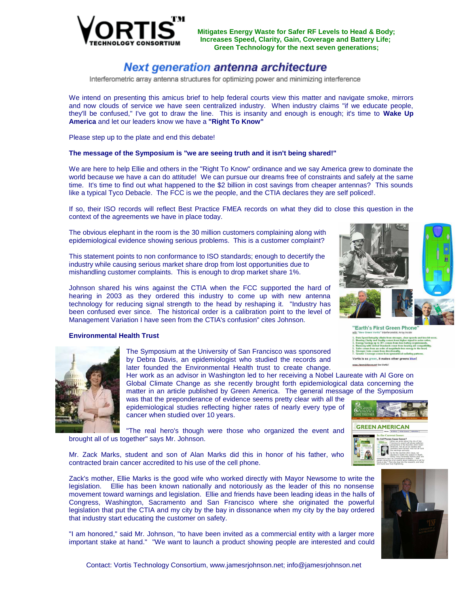

## Next generation antenna architecture

Interferometric array antenna structures for optimizing power and minimizing interference

We intend on presenting this amicus brief to help federal courts view this matter and navigate smoke, mirrors and now clouds of service we have seen centralized industry. When industry claims "if we educate people, they'll be confused," I've got to draw the line. This is insanity and enough is enough; it's time to **Wake Up America** and let our leaders know we have a **"Right To Know"**

Please step up to the plate and end this debate!

#### **The message of the Symposium is "we are seeing truth and it isn't being shared!"**

We are here to help Ellie and others in the "Right To Know" ordinance and we say America grew to dominate the world because we have a can do attitude! We can pursue our dreams free of constraints and safely at the same time. It's time to find out what happened to the \$2 billion in cost savings from cheaper antennas? This sounds like a typical Tyco Debacle. The FCC is we the people, and the CTIA declares they are self policed!.

If so, their ISO records will reflect Best Practice FMEA records on what they did to close this question in the context of the agreements we have in place today.

The obvious elephant in the room is the 30 million customers complaining along with epidemiological evidence showing serious problems. This is a customer complaint?

This statement points to non conformance to ISO standards; enough to decertify the industry while causing serious market share drop from lost opportunities due to mishandling customer complaints. This is enough to drop market share 1%.

Johnson shared his wins against the CTIA when the FCC supported the hard of hearing in 2003 as they ordered this industry to come up with new antenna technology for reducing signal strength to the head by reshaping it. "Industry has been confused ever since. The historical order is a calibration point to the level of Management Variation I have seen from the CTIA's confusion" cites Johnson.

#### **Environmental Health Trust**



The Symposium at the University of San Francisco was sponsored by Debra Davis, an epidemiologist who studied the records and later founded the Environmental Health trust to create change.

Her work as an advisor in Washington led to her receiving a Nobel Laureate with Al Gore on Global Climate Change as she recently brought forth epidemiological data concerning the matter in an article published by Green America. The general message of the Symposium

was that the preponderance of evidence seems pretty clear with all the epidemiological studies reflecting higher rates of nearly every type of cancer when studied over 10 years.

"The real hero's though were those who organized the event and brought all of us together" says Mr. Johnson.

Mr. Zack Marks, student and son of Alan Marks did this in honor of his father, who contracted brain cancer accredited to his use of the cell phone.

Zack's mother, Ellie Marks is the good wife who worked directly with Mayor Newsome to write the legislation. Ellie has been known nationally and notoriously as the leader of this no nonsense movement toward warnings and legislation. Ellie and friends have been leading ideas in the halls of Congress, Washington, Sacramento and San Francisco where she originated the powerful legislation that put the CTIA and my city by the bay in dissonance when my city by the bay ordered that industry start educating the customer on safety.

"I am honored," said Mr. Johnson, "to have been invited as a commercial entity with a larger more important stake at hand." "We want to launch a product showing people are interested and could



"Earth's First Green Phone

Vortis is so green, it makes other greens <mark>blue!</mark>







Contact: Vortis Technology Consortium, www.jamesrjohnson.net; info@jamesrjohnson.net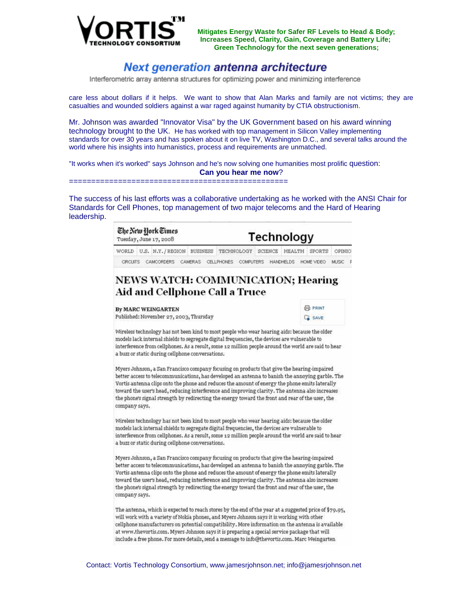

### Next generation antenna architecture

Interferometric array antenna structures for optimizing power and minimizing interference

care less about dollars if it helps. We want to show that Alan Marks and family are not victims; they are casualties and wounded soldiers against a war raged against humanity by CTIA obstructionism.

Mr. Johnson was awarded "Innovator Visa" by the UK Government based on his award winning technology brought to the UK. He has worked with top management in Silicon Valley implementing standards for over 30 years and has spoken about it on live TV, Washington D.C., and several talks around the world where his insights into humanistics, process and requirements are unmatched.

"It works when it's worked" says Johnson and he's now solving one humanities most prolific question: **Can you hear me now**?

The success of his last efforts was a collaborative undertaking as he worked with the ANSI Chair for Standards for Cell Phones, top management of two major telecoms and the Hard of Hearing leadership.

=====================

### Technology Tuesday, June 17, 2008 WORLD U.S. N.Y./REGION BUSINESS TECHNOLOGY SCIENCE HEALTH SPORTS OPINIO CIRCUITS CAMCORDERS CAMERAS CELLPHONES COMPUTERS HANDHELDS HOME VIDEO MUSIC P **NEWS WATCH: COMMUNICATION; Hearing** Aid and Cellphone Call a Truce

**By MARC WEINGARTEN** Published: November 27, 2003, Thursday

The New York Times



Wireless technology has not been kind to most people who wear hearing aids: because the older models lack internal shields to segregate digital frequencies, the devices are vulnerable to interference from cellphones. As a result, some 12 million people around the world are said to hear a buzz or static during cellphone conversations.

Myers Johnson, a San Francisco company focusing on products that give the hearing-impaired better access to telecommunications, has developed an antenna to banish the annoying garble. The Vortis antenna clips onto the phone and reduces the amount of energy the phone emits laterally toward the user's head, reducing interference and improving clarity. The antenna also increases the phone's signal strength by redirecting the energy toward the front and rear of the user, the company says.

Wireless technology has not been kind to most people who wear hearing aids: because the older models lack internal shields to segregate digital frequencies, the devices are vulnerable to interference from cellphones. As a result, some 12 million people around the world are said to hear a buzz or static during cellphone conversations.

Myers Johnson, a San Francisco company focusing on products that give the hearing-impaired better access to telecommunications, has developed an antenna to banish the annoying garble. The Vortis antenna clips onto the phone and reduces the amount of energy the phone emits laterally toward the user's head, reducing interference and improving clarity. The antenna also increases the phone's signal strength by redirecting the energy toward the front and rear of the user, the company says.

The antenna, which is expected to reach stores by the end of the year at a suggested price of \$79.95, will work with a variety of Nokia phones, and Myers Johnson says it is working with other cellphone manufacturers on potential compatibility. More information on the antenna is available at www.thevortis.com. Myers Johnson says it is preparing a special service package that will include a free phone. For more details, send a message to info@thevortis.com. Marc Weingarten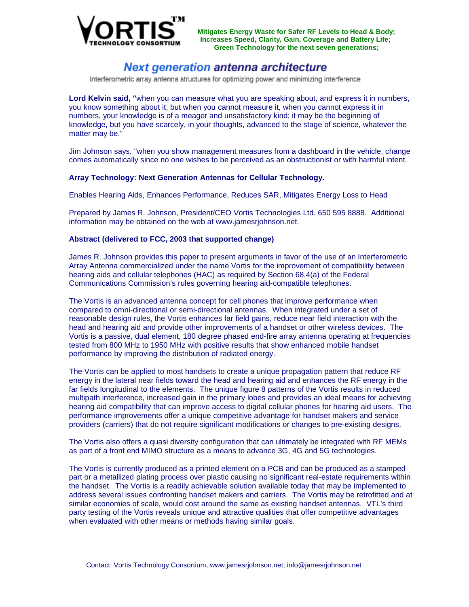

## Next generation antenna architecture

Interferometric array antenna structures for optimizing power and minimizing interference

**Lord Kelvin said, "**when you can measure what you are speaking about, and express it in numbers, you know something about it; but when you cannot measure it, when you cannot express it in numbers, your knowledge is of a meager and unsatisfactory kind; it may be the beginning of knowledge, but you have scarcely, in your thoughts, advanced to the stage of science, whatever the matter may be."

Jim Johnson says, "when you show management measures from a dashboard in the vehicle, change comes automatically since no one wishes to be perceived as an obstructionist or with harmful intent.

#### **Array Technology: Next Generation Antennas for Cellular Technology.**

Enables Hearing Aids, Enhances Performance, Reduces SAR, Mitigates Energy Loss to Head

Prepared by James R. Johnson, President/CEO Vortis Technologies Ltd. 650 595 8888. Additional information may be obtained on the web at www.jamesrjohnson.net.

#### **Abstract (delivered to FCC, 2003 that supported change)**

James R. Johnson provides this paper to present arguments in favor of the use of an Interferometric Array Antenna commercialized under the name Vortis for the improvement of compatibility between hearing aids and cellular telephones (HAC) as required by Section 68.4(a) of the Federal Communications Commission's rules governing hearing aid-compatible telephones.

The Vortis is an advanced antenna concept for cell phones that improve performance when compared to omni-directional or semi-directional antennas. When integrated under a set of reasonable design rules, the Vortis enhances far field gains, reduce near field interaction with the head and hearing aid and provide other improvements of a handset or other wireless devices. The Vortis is a passive, dual element, 180 degree phased end-fire array antenna operating at frequencies tested from 800 MHz to 1950 MHz with positive results that show enhanced mobile handset performance by improving the distribution of radiated energy.

The Vortis can be applied to most handsets to create a unique propagation pattern that reduce RF energy in the lateral near fields toward the head and hearing aid and enhances the RF energy in the far fields longitudinal to the elements. The unique figure 8 patterns of the Vortis results in reduced multipath interference, increased gain in the primary lobes and provides an ideal means for achieving hearing aid compatibility that can improve access to digital cellular phones for hearing aid users. The performance improvements offer a unique competitive advantage for handset makers and service providers (carriers) that do not require significant modifications or changes to pre-existing designs.

The Vortis also offers a quasi diversity configuration that can ultimately be integrated with RF MEMs as part of a front end MIMO structure as a means to advance 3G, 4G and 5G technologies.

The Vortis is currently produced as a printed element on a PCB and can be produced as a stamped part or a metallized plating process over plastic causing no significant real-estate requirements within the handset. The Vortis is a readily achievable solution available today that may be implemented to address several issues confronting handset makers and carriers. The Vortis may be retrofitted and at similar economies of scale, would cost around the same as existing handset antennas. VTL's third party testing of the Vortis reveals unique and attractive qualities that offer competitive advantages when evaluated with other means or methods having similar goals.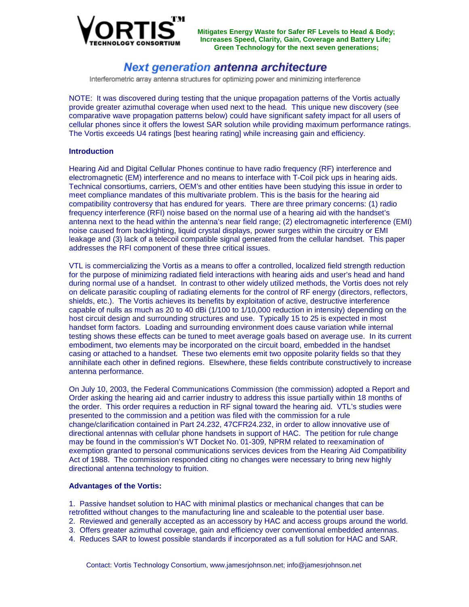

## Next generation antenna architecture

Interferometric array antenna structures for optimizing power and minimizing interference

NOTE: It was discovered during testing that the unique propagation patterns of the Vortis actually provide greater azimuthal coverage when used next to the head. This unique new discovery (see comparative wave propagation patterns below) could have significant safety impact for all users of cellular phones since it offers the lowest SAR solution while providing maximum performance ratings. The Vortis exceeds U4 ratings [best hearing rating] while increasing gain and efficiency.

### **Introduction**

Hearing Aid and Digital Cellular Phones continue to have radio frequency (RF) interference and electromagnetic (EM) interference and no means to interface with T-Coil pick ups in hearing aids. Technical consortiums, carriers, OEM's and other entities have been studying this issue in order to meet compliance mandates of this multivariate problem. This is the basis for the hearing aid compatibility controversy that has endured for years. There are three primary concerns: (1) radio frequency interference (RFI) noise based on the normal use of a hearing aid with the handset's antenna next to the head within the antenna's near field range; (2) electromagnetic interference (EMI) noise caused from backlighting, liquid crystal displays, power surges within the circuitry or EMI leakage and (3) lack of a telecoil compatible signal generated from the cellular handset. This paper addresses the RFI component of these three critical issues.

VTL is commercializing the Vortis as a means to offer a controlled, localized field strength reduction for the purpose of minimizing radiated field interactions with hearing aids and user's head and hand during normal use of a handset. In contrast to other widely utilized methods, the Vortis does not rely on delicate parasitic coupling of radiating elements for the control of RF energy (directors, reflectors, shields, etc.). The Vortis achieves its benefits by exploitation of active, destructive interference capable of nulls as much as 20 to 40 dBi (1/100 to 1/10,000 reduction in intensity) depending on the host circuit design and surrounding structures and use. Typically 15 to 25 is expected in most handset form factors. Loading and surrounding environment does cause variation while internal testing shows these effects can be tuned to meet average goals based on average use. In its current embodiment, two elements may be incorporated on the circuit board, embedded in the handset casing or attached to a handset. These two elements emit two opposite polarity fields so that they annihilate each other in defined regions. Elsewhere, these fields contribute constructively to increase antenna performance.

On July 10, 2003, the Federal Communications Commission (the commission) adopted a Report and Order asking the hearing aid and carrier industry to address this issue partially within 18 months of the order. This order requires a reduction in RF signal toward the hearing aid. VTL's studies were presented to the commission and a petition was filed with the commission for a rule change/clarification contained in Part 24.232, 47CFR24.232, in order to allow innovative use of directional antennas with cellular phone handsets in support of HAC. The petition for rule change may be found in the commission's WT Docket No. 01-309, NPRM related to reexamination of exemption granted to personal communications services devices from the Hearing Aid Compatibility Act of 1988. The commission responded citing no changes were necessary to bring new highly directional antenna technology to fruition.

### **Advantages of the Vortis:**

1. Passive handset solution to HAC with minimal plastics or mechanical changes that can be retrofitted without changes to the manufacturing line and scaleable to the potential user base.

- 2. Reviewed and generally accepted as an accessory by HAC and access groups around the world.
- 3. Offers greater azimuthal coverage, gain and efficiency over conventional embedded antennas.
- 4. Reduces SAR to lowest possible standards if incorporated as a full solution for HAC and SAR.

Contact: Vortis Technology Consortium, www.jamesrjohnson.net; info@jamesrjohnson.net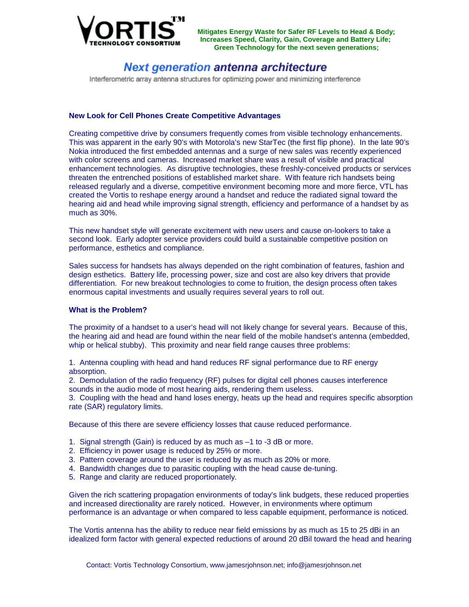

## Next generation antenna architecture

Interferometric array antenna structures for optimizing power and minimizing interference

### **New Look for Cell Phones Create Competitive Advantages**

Creating competitive drive by consumers frequently comes from visible technology enhancements. This was apparent in the early 90's with Motorola's new StarTec (the first flip phone). In the late 90's Nokia introduced the first embedded antennas and a surge of new sales was recently experienced with color screens and cameras. Increased market share was a result of visible and practical enhancement technologies. As disruptive technologies, these freshly-conceived products or services threaten the entrenched positions of established market share. With feature rich handsets being released regularly and a diverse, competitive environment becoming more and more fierce, VTL has created the Vortis to reshape energy around a handset and reduce the radiated signal toward the hearing aid and head while improving signal strength, efficiency and performance of a handset by as much as 30%.

This new handset style will generate excitement with new users and cause on-lookers to take a second look. Early adopter service providers could build a sustainable competitive position on performance, esthetics and compliance.

Sales success for handsets has always depended on the right combination of features, fashion and design esthetics. Battery life, processing power, size and cost are also key drivers that provide differentiation. For new breakout technologies to come to fruition, the design process often takes enormous capital investments and usually requires several years to roll out.

### **What is the Problem?**

The proximity of a handset to a user's head will not likely change for several years. Because of this, the hearing aid and head are found within the near field of the mobile handset's antenna (embedded, whip or helical stubby). This proximity and near field range causes three problems:

1. Antenna coupling with head and hand reduces RF signal performance due to RF energy absorption.

2. Demodulation of the radio frequency (RF) pulses for digital cell phones causes interference sounds in the audio mode of most hearing aids, rendering them useless.

3. Coupling with the head and hand loses energy, heats up the head and requires specific absorption rate (SAR) regulatory limits.

Because of this there are severe efficiency losses that cause reduced performance.

- 1. Signal strength (Gain) is reduced by as much as –1 to -3 dB or more.
- 2. Efficiency in power usage is reduced by 25% or more.
- 3. Pattern coverage around the user is reduced by as much as 20% or more.
- 4. Bandwidth changes due to parasitic coupling with the head cause de-tuning.
- 5. Range and clarity are reduced proportionately.

Given the rich scattering propagation environments of today's link budgets, these reduced properties and increased directionality are rarely noticed. However, in environments where optimum performance is an advantage or when compared to less capable equipment, performance is noticed.

The Vortis antenna has the ability to reduce near field emissions by as much as 15 to 25 dBi in an idealized form factor with general expected reductions of around 20 dBil toward the head and hearing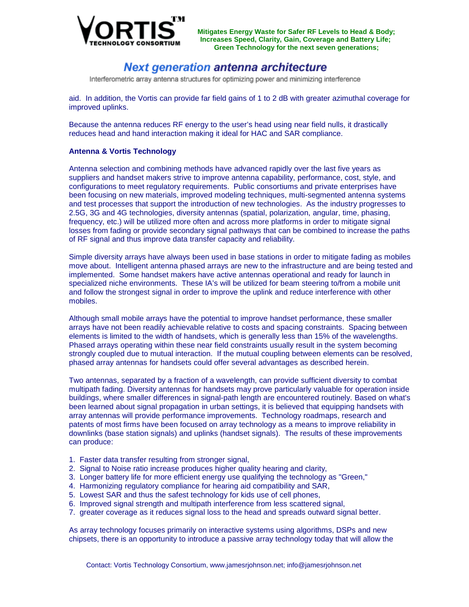

## Next generation antenna architecture

Interferometric array antenna structures for optimizing power and minimizing interference

aid. In addition, the Vortis can provide far field gains of 1 to 2 dB with greater azimuthal coverage for improved uplinks.

Because the antenna reduces RF energy to the user's head using near field nulls, it drastically reduces head and hand interaction making it ideal for HAC and SAR compliance.

### **Antenna & Vortis Technology**

Antenna selection and combining methods have advanced rapidly over the last five years as suppliers and handset makers strive to improve antenna capability, performance, cost, style, and configurations to meet regulatory requirements. Public consortiums and private enterprises have been focusing on new materials, improved modeling techniques, multi-segmented antenna systems and test processes that support the introduction of new technologies. As the industry progresses to 2.5G, 3G and 4G technologies, diversity antennas (spatial, polarization, angular, time, phasing, frequency, etc.) will be utilized more often and across more platforms in order to mitigate signal losses from fading or provide secondary signal pathways that can be combined to increase the paths of RF signal and thus improve data transfer capacity and reliability.

Simple diversity arrays have always been used in base stations in order to mitigate fading as mobiles move about. Intelligent antenna phased arrays are new to the infrastructure and are being tested and implemented. Some handset makers have active antennas operational and ready for launch in specialized niche environments. These IA's will be utilized for beam steering to/from a mobile unit and follow the strongest signal in order to improve the uplink and reduce interference with other mobiles.

Although small mobile arrays have the potential to improve handset performance, these smaller arrays have not been readily achievable relative to costs and spacing constraints. Spacing between elements is limited to the width of handsets, which is generally less than 15% of the wavelengths. Phased arrays operating within these near field constraints usually result in the system becoming strongly coupled due to mutual interaction. If the mutual coupling between elements can be resolved, phased array antennas for handsets could offer several advantages as described herein.

Two antennas, separated by a fraction of a wavelength, can provide sufficient diversity to combat multipath fading. Diversity antennas for handsets may prove particularly valuable for operation inside buildings, where smaller differences in signal-path length are encountered routinely. Based on what's been learned about signal propagation in urban settings, it is believed that equipping handsets with array antennas will provide performance improvements. Technology roadmaps, research and patents of most firms have been focused on array technology as a means to improve reliability in downlinks (base station signals) and uplinks (handset signals). The results of these improvements can produce:

- 1. Faster data transfer resulting from stronger signal,
- 2. Signal to Noise ratio increase produces higher quality hearing and clarity,
- 3. Longer battery life for more efficient energy use qualifying the technology as "Green,"
- 4. Harmonizing regulatory compliance for hearing aid compatibility and SAR,
- 5. Lowest SAR and thus the safest technology for kids use of cell phones,
- 6. Improved signal strength and multipath interference from less scattered signal,
- 7. greater coverage as it reduces signal loss to the head and spreads outward signal better.

As array technology focuses primarily on interactive systems using algorithms, DSPs and new chipsets, there is an opportunity to introduce a passive array technology today that will allow the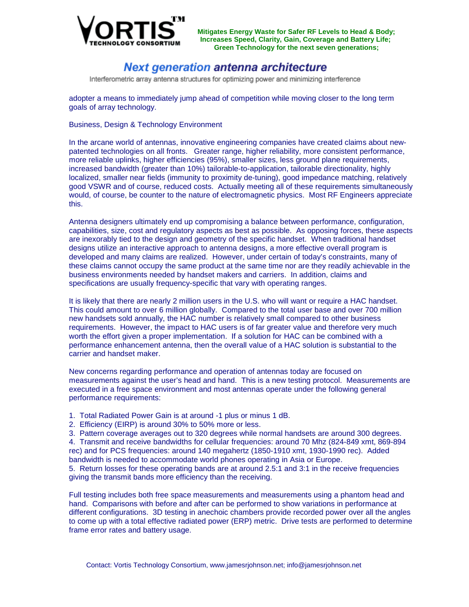

## Next generation antenna architecture

Interferometric array antenna structures for optimizing power and minimizing interference

adopter a means to immediately jump ahead of competition while moving closer to the long term goals of array technology.

Business, Design & Technology Environment

In the arcane world of antennas, innovative engineering companies have created claims about newpatented technologies on all fronts. Greater range, higher reliability, more consistent performance, more reliable uplinks, higher efficiencies (95%), smaller sizes, less ground plane requirements, increased bandwidth (greater than 10%) tailorable-to-application, tailorable directionality, highly localized, smaller near fields (immunity to proximity de-tuning), good impedance matching, relatively good VSWR and of course, reduced costs. Actually meeting all of these requirements simultaneously would, of course, be counter to the nature of electromagnetic physics. Most RF Engineers appreciate this.

Antenna designers ultimately end up compromising a balance between performance, configuration, capabilities, size, cost and regulatory aspects as best as possible. As opposing forces, these aspects are inexorably tied to the design and geometry of the specific handset. When traditional handset designs utilize an interactive approach to antenna designs, a more effective overall program is developed and many claims are realized. However, under certain of today's constraints, many of these claims cannot occupy the same product at the same time nor are they readily achievable in the business environments needed by handset makers and carriers. In addition, claims and specifications are usually frequency-specific that vary with operating ranges.

It is likely that there are nearly 2 million users in the U.S. who will want or require a HAC handset. This could amount to over 6 million globally. Compared to the total user base and over 700 million new handsets sold annually, the HAC number is relatively small compared to other business requirements. However, the impact to HAC users is of far greater value and therefore very much worth the effort given a proper implementation. If a solution for HAC can be combined with a performance enhancement antenna, then the overall value of a HAC solution is substantial to the carrier and handset maker.

New concerns regarding performance and operation of antennas today are focused on measurements against the user's head and hand. This is a new testing protocol. Measurements are executed in a free space environment and most antennas operate under the following general performance requirements:

1. Total Radiated Power Gain is at around -1 plus or minus 1 dB.

- 2. Efficiency (EIRP) is around 30% to 50% more or less.
- 3. Pattern coverage averages out to 320 degrees while normal handsets are around 300 degrees.

4. Transmit and receive bandwidths for cellular frequencies: around 70 Mhz (824-849 xmt, 869-894 rec) and for PCS frequencies: around 140 megahertz (1850-1910 xmt, 1930-1990 rec). Added bandwidth is needed to accommodate world phones operating in Asia or Europe.

5. Return losses for these operating bands are at around 2.5:1 and 3:1 in the receive frequencies giving the transmit bands more efficiency than the receiving.

Full testing includes both free space measurements and measurements using a phantom head and hand. Comparisons with before and after can be performed to show variations in performance at different configurations. 3D testing in anechoic chambers provide recorded power over all the angles to come up with a total effective radiated power (ERP) metric. Drive tests are performed to determine frame error rates and battery usage.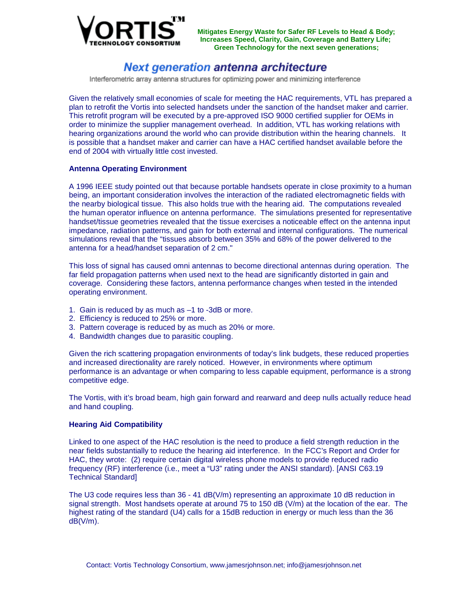

### Next generation antenna architecture

Interferometric array antenna structures for optimizing power and minimizing interference

Given the relatively small economies of scale for meeting the HAC requirements, VTL has prepared a plan to retrofit the Vortis into selected handsets under the sanction of the handset maker and carrier. This retrofit program will be executed by a pre-approved ISO 9000 certified supplier for OEMs in order to minimize the supplier management overhead. In addition, VTL has working relations with hearing organizations around the world who can provide distribution within the hearing channels. It is possible that a handset maker and carrier can have a HAC certified handset available before the end of 2004 with virtually little cost invested.

### **Antenna Operating Environment**

A 1996 IEEE study pointed out that because portable handsets operate in close proximity to a human being, an important consideration involves the interaction of the radiated electromagnetic fields with the nearby biological tissue. This also holds true with the hearing aid. The computations revealed the human operator influence on antenna performance. The simulations presented for representative handset/tissue geometries revealed that the tissue exercises a noticeable effect on the antenna input impedance, radiation patterns, and gain for both external and internal configurations. The numerical simulations reveal that the "tissues absorb between 35% and 68% of the power delivered to the antenna for a head/handset separation of 2 cm."

This loss of signal has caused omni antennas to become directional antennas during operation. The far field propagation patterns when used next to the head are significantly distorted in gain and coverage. Considering these factors, antenna performance changes when tested in the intended operating environment.

- 1. Gain is reduced by as much as –1 to -3dB or more.
- 2. Efficiency is reduced to 25% or more.
- 3. Pattern coverage is reduced by as much as 20% or more.
- 4. Bandwidth changes due to parasitic coupling.

Given the rich scattering propagation environments of today's link budgets, these reduced properties and increased directionality are rarely noticed. However, in environments where optimum performance is an advantage or when comparing to less capable equipment, performance is a strong competitive edge.

The Vortis, with it's broad beam, high gain forward and rearward and deep nulls actually reduce head and hand coupling.

### **Hearing Aid Compatibility**

Linked to one aspect of the HAC resolution is the need to produce a field strength reduction in the near fields substantially to reduce the hearing aid interference. In the FCC's Report and Order for HAC, they wrote: (2) require certain digital wireless phone models to provide reduced radio frequency (RF) interference (i.e., meet a "U3" rating under the ANSI standard). [ANSI C63.19 Technical Standard]

The U3 code requires less than  $36 - 41$  dB(V/m) representing an approximate 10 dB reduction in signal strength. Most handsets operate at around 75 to 150 dB (V/m) at the location of the ear. The highest rating of the standard (U4) calls for a 15dB reduction in energy or much less than the 36 dB(V/m).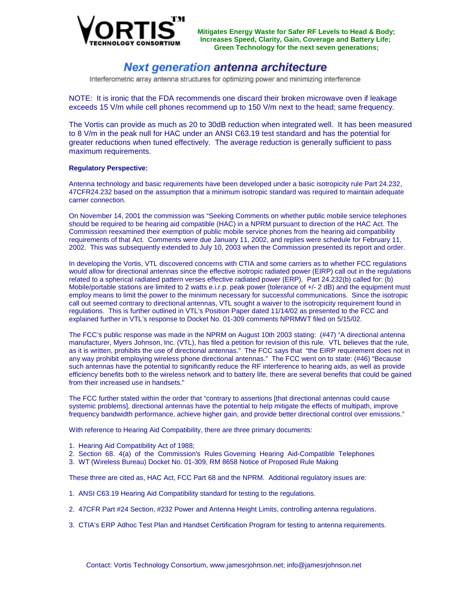

## Next generation antenna architecture

Interferometric array antenna structures for optimizing power and minimizing interference

NOTE: It is ironic that the FDA recommends one discard their broken microwave oven if leakage exceeds 15 V/m while cell phones recommend up to 150 V/m next to the head; same frequency.

The Vortis can provide as much as 20 to 30dB reduction when integrated well. It has been measured to 8 V/m in the peak null for HAC under an ANSI C63.19 test standard and has the potential for greater reductions when tuned effectively. The average reduction is generally sufficient to pass maximum requirements.

#### **Regulatory Perspective:**

Antenna technology and basic requirements have been developed under a basic isotropicity rule Part 24.232, 47CFR24.232 based on the assumption that a minimum isotropic standard was required to maintain adequate carrier connection.

On November 14, 2001 the commission was "Seeking Comments on whether public mobile service telephones should be required to be hearing aid compatible (HAC) in a NPRM pursuant to direction of the HAC Act. The Commission reexamined their exemption of public mobile service phones from the hearing aid compatibility requirements of that Act. Comments were due January 11, 2002, and replies were schedule for February 11, 2002. This was subsequently extended to July 10, 2003 when the Commission presented its report and order.

In developing the Vortis, VTL discovered concerns with CTIA and some carriers as to whether FCC regulations would allow for directional antennas since the effective isotropic radiated power (EIRP) call out in the regulations related to a spherical radiated pattern verses effective radiated power (ERP). Part 24.232(b) called for: (b) Mobile/portable stations are limited to 2 watts e.i.r.p. peak power (tolerance of  $+/- 2$  dB) and the equipment must employ means to limit the power to the minimum necessary for successful communications. Since the isotropic call out seemed contrary to directional antennas, VTL sought a waiver to the isotropicity requirement found in regulations. This is further outlined in VTL's Position Paper dated 11/14/02 as presented to the FCC and explained further in VTL's response to Docket No. 01-309 comments NPRMWT filed on 5/15/02.

The FCC's public response was made in the NPRM on August 10th 2003 stating: (#47) "A directional antenna manufacturer, Myers Johnson, Inc. (VTL), has filed a petition for revision of this rule. VTL believes that the rule, as it is written, prohibits the use of directional antennas." The FCC says that "the EIRP requirement does not in any way prohibit employing wireless phone directional antennas." The FCC went on to state: (#46) "Because such antennas have the potential to significantly reduce the RF interference to hearing aids, as well as provide efficiency benefits both to the wireless network and to battery life, there are several benefits that could be gained from their increased use in handsets."

The FCC further stated within the order that "contrary to assertions [that directional antennas could cause systemic problems], directional antennas have the potential to help mitigate the effects of multipath, improve frequency bandwidth performance, achieve higher gain, and provide better directional control over emissions."

With reference to Hearing Aid Compatibility, there are three primary documents:

- 1. Hearing Aid Compatibility Act of 1988;
- 2. Section 68. 4(a) of the Commission's Rules Governing Hearing Aid-Compatible Telephones
- 3. WT (Wireless Bureau) Docket No. 01-309, RM 8658 Notice of Proposed Rule Making

These three are cited as, HAC Act, FCC Part 68 and the NPRM. Additional regulatory issues are:

- 1. ANSI C63.19 Hearing Aid Compatibility standard for testing to the regulations.
- 2. 47CFR Part #24 Section, #232 Power and Antenna Height Limits, controlling antenna regulations.
- 3. CTIA's ERP Adhoc Test Plan and Handset Certification Program for testing to antenna requirements.